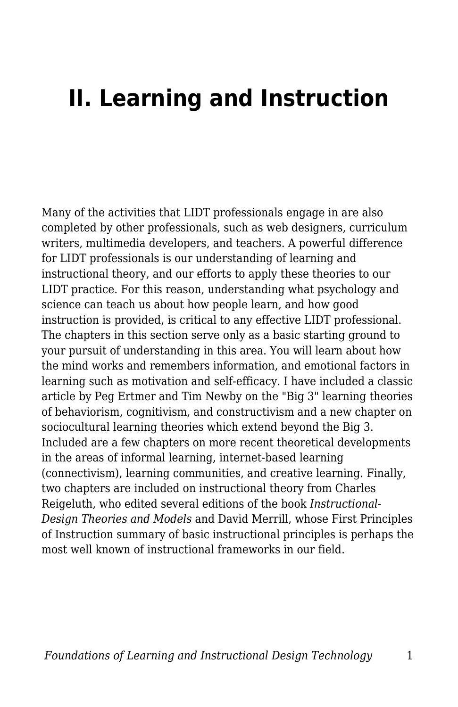## **II. Learning and Instruction**

Many of the activities that LIDT professionals engage in are also completed by other professionals, such as web designers, curriculum writers, multimedia developers, and teachers. A powerful difference for LIDT professionals is our understanding of learning and instructional theory, and our efforts to apply these theories to our LIDT practice. For this reason, understanding what psychology and science can teach us about how people learn, and how good instruction is provided, is critical to any effective LIDT professional. The chapters in this section serve only as a basic starting ground to your pursuit of understanding in this area. You will learn about how the mind works and remembers information, and emotional factors in learning such as motivation and self-efficacy. I have included a classic article by Peg Ertmer and Tim Newby on the "Big 3" learning theories of behaviorism, cognitivism, and constructivism and a new chapter on sociocultural learning theories which extend beyond the Big 3. Included are a few chapters on more recent theoretical developments in the areas of informal learning, internet-based learning (connectivism), learning communities, and creative learning. Finally, two chapters are included on instructional theory from Charles Reigeluth, who edited several editions of the book *Instructional-Design Theories and Models* and David Merrill, whose First Principles of Instruction summary of basic instructional principles is perhaps the most well known of instructional frameworks in our field.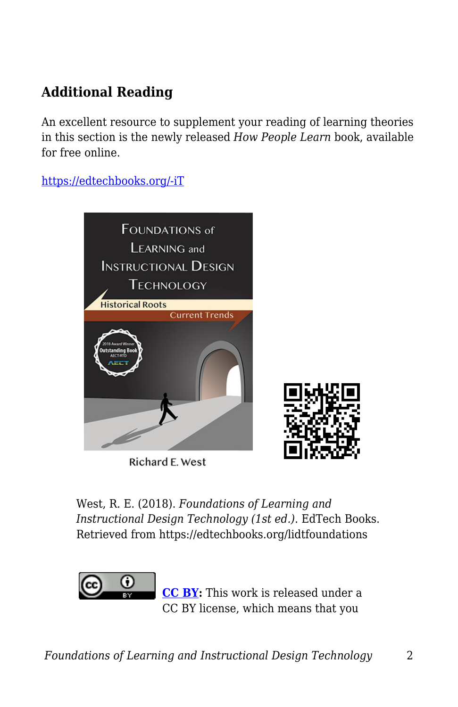## **Additional Reading**

An excellent resource to supplement your reading of learning theories in this section is the newly released *How People Learn* book, available for free online.

[https://edtechbooks.org/-iT](https://www.nap.edu/read/24783/chapter/1)



Richard E. West

West, R. E. (2018). *Foundations of Learning and Instructional Design Technology (1st ed.)*. EdTech Books. Retrieved from https://edtechbooks.org/lidtfoundations



**[CC BY:](https://creativecommons.org/licenses/by/4.0)** This work is released under a CC BY license, which means that you